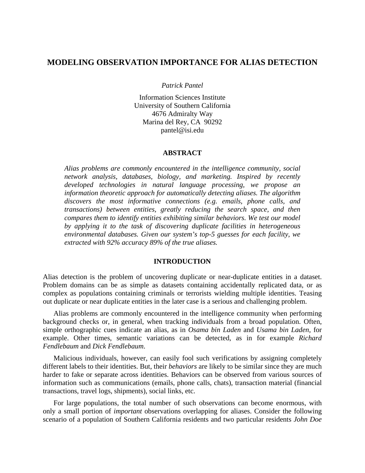# **MODELING OBSERVATION IMPORTANCE FOR ALIAS DETECTION**

*Patrick Pantel* 

Information Sciences Institute University of Southern California 4676 Admiralty Way Marina del Rey, CA 90292 pantel@isi.edu

### **ABSTRACT**

*Alias problems are commonly encountered in the intelligence community, social network analysis, databases, biology, and marketing. Inspired by recently developed technologies in natural language processing, we propose an information theoretic approach for automatically detecting aliases. The algorithm discovers the most informative connections (e.g. emails, phone calls, and transactions) between entities, greatly reducing the search space, and then compares them to identify entities exhibiting similar behaviors. We test our model by applying it to the task of discovering duplicate facilities in heterogeneous environmental databases. Given our system's top-5 guesses for each facility, we extracted with 92% accuracy 89% of the true aliases.* 

## **INTRODUCTION**

Alias detection is the problem of uncovering duplicate or near-duplicate entities in a dataset. Problem domains can be as simple as datasets containing accidentally replicated data, or as complex as populations containing criminals or terrorists wielding multiple identities. Teasing out duplicate or near duplicate entities in the later case is a serious and challenging problem.

Alias problems are commonly encountered in the intelligence community when performing background checks or, in general, when tracking individuals from a broad population. Often, simple orthographic cues indicate an alias, as in *Osama bin Laden* and *Usama bin Laden*, for example. Other times, semantic variations can be detected, as in for example *Richard Fendlebaum* and *Dick Fendlebaum*.

Malicious individuals, however, can easily fool such verifications by assigning completely different labels to their identities. But, their *behaviors* are likely to be similar since they are much harder to fake or separate across identities. Behaviors can be observed from various sources of information such as communications (emails, phone calls, chats), transaction material (financial transactions, travel logs, shipments), social links, etc.

For large populations, the total number of such observations can become enormous, with only a small portion of *important* observations overlapping for aliases. Consider the following scenario of a population of Southern California residents and two particular residents *John Doe*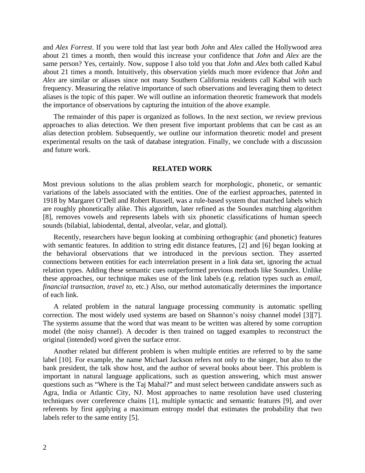and *Alex Forrest*. If you were told that last year both *John* and *Alex* called the Hollywood area about 21 times a month, then would this increase your confidence that *John* and *Alex* are the same person? Yes, certainly. Now, suppose I also told you that *John* and *Alex* both called Kabul about 21 times a month. Intuitively, this observation yields much more evidence that *John* and *Alex* are similar or aliases since not many Southern California residents call Kabul with such frequency. Measuring the relative importance of such observations and leveraging them to detect aliases is the topic of this paper. We will outline an information theoretic framework that models the importance of observations by capturing the intuition of the above example.

The remainder of this paper is organized as follows. In the next section, we review previous approaches to alias detection. We then present five important problems that can be cast as an alias detection problem. Subsequently, we outline our information theoretic model and present experimental results on the task of database integration. Finally, we conclude with a discussion and future work.

## **RELATED WORK**

Most previous solutions to the alias problem search for morphologic, phonetic, or semantic variations of the labels associated with the entities. One of the earliest approaches, patented in 1918 by Margaret O'Dell and Robert Russell, was a rule-based system that matched labels which are roughly phonetically alike. This algorithm, later refined as the Soundex matching algorithm [8], removes vowels and represents labels with six phonetic classifications of human speech sounds (bilabial, labiodental, dental, alveolar, velar, and glottal).

Recently, researchers have begun looking at combining orthographic (and phonetic) features with semantic features. In addition to string edit distance features, [2] and [6] began looking at the behavioral observations that we introduced in the previous section. They asserted connections between entities for each interrelation present in a link data set, ignoring the actual relation types. Adding these semantic cues outperformed previous methods like Soundex. Unlike these approaches, our technique makes use of the link labels (e.g. relation types such as *email*, *financial transaction*, *travel to*, etc.) Also, our method automatically determines the importance of each link.

A related problem in the natural language processing community is automatic spelling correction. The most widely used systems are based on Shannon's noisy channel model [3][7]. The systems assume that the word that was meant to be written was altered by some corruption model (the noisy channel). A decoder is then trained on tagged examples to reconstruct the original (intended) word given the surface error.

Another related but different problem is when multiple entities are referred to by the same label [10]. For example, the name Michael Jackson refers not only to the singer, but also to the bank president, the talk show host, and the author of several books about beer. This problem is important in natural language applications, such as question answering, which must answer questions such as "Where is the Taj Mahal?" and must select between candidate answers such as Agra, India or Atlantic City, NJ. Most approaches to name resolution have used clustering techniques over coreference chains [1], multiple syntactic and semantic features [9], and over referents by first applying a maximum entropy model that estimates the probability that two labels refer to the same entity [5].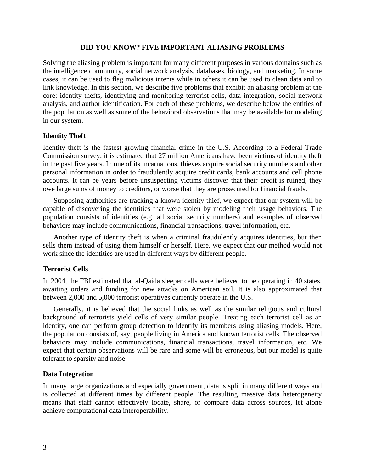# **DID YOU KNOW? FIVE IMPORTANT ALIASING PROBLEMS**

Solving the aliasing problem is important for many different purposes in various domains such as the intelligence community, social network analysis, databases, biology, and marketing. In some cases, it can be used to flag malicious intents while in others it can be used to clean data and to link knowledge. In this section, we describe five problems that exhibit an aliasing problem at the core: identity thefts, identifying and monitoring terrorist cells, data integration, social network analysis, and author identification. For each of these problems, we describe below the entities of the population as well as some of the behavioral observations that may be available for modeling in our system.

# **Identity Theft**

Identity theft is the fastest growing financial crime in the U.S. According to a Federal Trade Commission survey, it is estimated that 27 million Americans have been victims of identity theft in the past five years. In one of its incarnations, thieves acquire social security numbers and other personal information in order to fraudulently acquire credit cards, bank accounts and cell phone accounts. It can be years before unsuspecting victims discover that their credit is ruined, they owe large sums of money to creditors, or worse that they are prosecuted for financial frauds.

Supposing authorities are tracking a known identity thief, we expect that our system will be capable of discovering the identities that were stolen by modeling their usage behaviors. The population consists of identities (e.g. all social security numbers) and examples of observed behaviors may include communications, financial transactions, travel information, etc.

Another type of identity theft is when a criminal fraudulently acquires identities, but then sells them instead of using them himself or herself. Here, we expect that our method would not work since the identities are used in different ways by different people.

# **Terrorist Cells**

In 2004, the FBI estimated that al-Qaida sleeper cells were believed to be operating in 40 states, awaiting orders and funding for new attacks on American soil. It is also approximated that between 2,000 and 5,000 terrorist operatives currently operate in the U.S.

Generally, it is believed that the social links as well as the similar religious and cultural background of terrorists yield cells of very similar people. Treating each terrorist cell as an identity, one can perform group detection to identify its members using aliasing models. Here, the population consists of, say, people living in America and known terrorist cells. The observed behaviors may include communications, financial transactions, travel information, etc. We expect that certain observations will be rare and some will be erroneous, but our model is quite tolerant to sparsity and noise.

# **Data Integration**

In many large organizations and especially government, data is split in many different ways and is collected at different times by different people. The resulting massive data heterogeneity means that staff cannot effectively locate, share, or compare data across sources, let alone achieve computational data interoperability.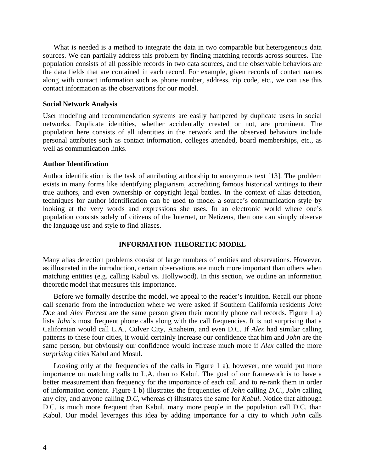What is needed is a method to integrate the data in two comparable but heterogeneous data sources. We can partially address this problem by finding matching records across sources. The population consists of all possible records in two data sources, and the observable behaviors are the data fields that are contained in each record. For example, given records of contact names along with contact information such as phone number, address, zip code, etc., we can use this contact information as the observations for our model.

### **Social Network Analysis**

User modeling and recommendation systems are easily hampered by duplicate users in social networks. Duplicate identities, whether accidentally created or not, are prominent. The population here consists of all identities in the network and the observed behaviors include personal attributes such as contact information, colleges attended, board memberships, etc., as well as communication links.

## **Author Identification**

Author identification is the task of attributing authorship to anonymous text [13]. The problem exists in many forms like identifying plagiarism, accrediting famous historical writings to their true authors, and even ownership or copyright legal battles. In the context of alias detection, techniques for author identification can be used to model a source's communication style by looking at the very words and expressions she uses. In an electronic world where one's population consists solely of citizens of the Internet, or Netizens, then one can simply observe the language use and style to find aliases.

# **INFORMATION THEORETIC MODEL**

Many alias detection problems consist of large numbers of entities and observations. However, as illustrated in the introduction, certain observations are much more important than others when matching entities (e.g. calling Kabul vs. Hollywood). In this section, we outline an information theoretic model that measures this importance.

Before we formally describe the model, we appeal to the reader's intuition. Recall our phone call scenario from the introduction where we were asked if Southern California residents *John Doe* and *Alex Forrest* are the same person given their monthly phone call records. Figure 1 a) lists *John*'s most frequent phone calls along with the call frequencies. It is not surprising that a Californian would call L.A., Culver City, Anaheim, and even D.C. If *Alex* had similar calling patterns to these four cities, it would certainly increase our confidence that him and *John* are the same person, but obviously our confidence would increase much more if *Alex* called the more *surprising* cities Kabul and Mosul.

Looking only at the frequencies of the calls in Figure 1 a), however, one would put more importance on matching calls to L.A. than to Kabul. The goal of our framework is to have a better measurement than frequency for the importance of each call and to re-rank them in order of information content. Figure 1 b) illustrates the frequencies of *John* calling *D.C.*, *John* calling any city, and anyone calling *D*.*C*, whereas c) illustrates the same for *Kabul*. Notice that although D.C. is much more frequent than Kabul, many more people in the population call D.C. than Kabul. Our model leverages this idea by adding importance for a city to which *John* calls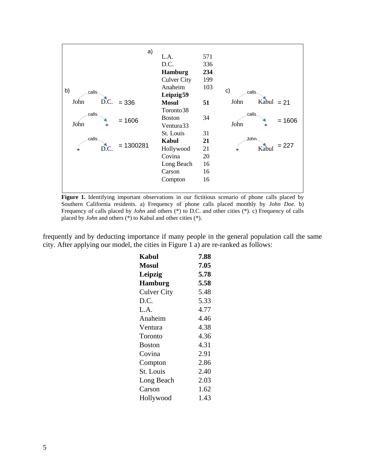

Figure 1. Identifying important observations in our fictitious scenario of phone calls placed by Southern California residents. a) Frequency of phone calls placed monthly by *John Doe*. b) Frequency of calls placed by *John* and others (\*) to D.C. and other cities (\*). c) Frequency of calls placed by *John* and others (\*) to Kabul and other cities (\*).

frequently and by deducting importance if many people in the general population call the same city. After applying our model, the cities in Figure 1 a) are re-ranked as follows:

| <b>Kabul</b>       | 7.88 |
|--------------------|------|
| <b>Mosul</b>       | 7.05 |
| Leipzig            | 5.78 |
| <b>Hamburg</b>     | 5.58 |
| <b>Culver City</b> | 5.48 |
| D.C.               | 5.33 |
| L.A.               | 4.77 |
| Anaheim            | 4.46 |
| Ventura            | 4.38 |
| Toronto            | 4.36 |
| <b>Boston</b>      | 4.31 |
| Covina             | 2.91 |
| Compton            | 2.86 |
| St. Louis          | 2.40 |
| Long Beach         | 2.03 |
| Carson             | 1.62 |
| Hollywood          | 1.43 |
|                    |      |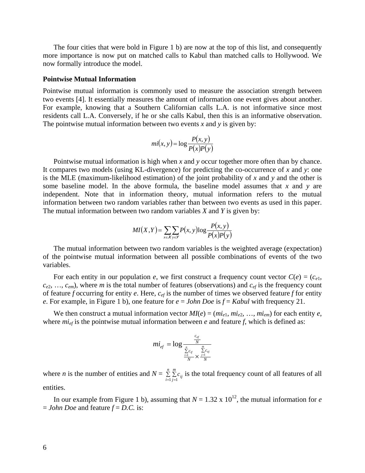The four cities that were bold in Figure 1 b) are now at the top of this list, and consequently more importance is now put on matched calls to Kabul than matched calls to Hollywood. We now formally introduce the model.

### **Pointwise Mutual Information**

Pointwise mutual information is commonly used to measure the association strength between two events [4]. It essentially measures the amount of information one event gives about another. For example, knowing that a Southern Californian calls L.A. is not informative since most residents call L.A. Conversely, if he or she calls Kabul, then this is an informative observation. The pointwise mutual information between two events *x* and *y* is given by:

$$
mi(x, y) = \log \frac{P(x, y)}{P(x)P(y)}
$$

Pointwise mutual information is high when *x* and *y* occur together more often than by chance. It compares two models (using KL-divergence) for predicting the co-occurrence of *x* and *y*: one is the MLE (maximum-likelihood estimation) of the joint probability of *x* and *y* and the other is some baseline model. In the above formula, the baseline model assumes that *x* and *y* are independent. Note that in information theory, mutual information refers to the mutual information between two random variables rather than between two events as used in this paper. The mutual information between two random variables *X* and *Y* is given by:

$$
MI(X,Y) = \sum_{x \in X} \sum_{y \in Y} P(x, y) \log \frac{P(x, y)}{P(x)P(y)}
$$

The mutual information between two random variables is the weighted average (expectation) of the pointwise mutual information between all possible combinations of events of the two variables.

For each entity in our population *e*, we first construct a frequency count vector  $C(e) = (c_{e1},$  $c_{e2}, \ldots, c_{em}$ , where *m* is the total number of features (observations) and  $c_{ef}$  is the frequency count of feature *f* occurring for entity *e*. Here, *cef* is the number of times we observed feature *f* for entity *e*. For example, in Figure 1 b), one feature for *e* = *John Doe* is *f* = *Kabul* with frequency 21.

We then construct a mutual information vector  $MI(e) = (mi_{e1}, mi_{e2}, ..., mi_{em})$  for each entity *e*, where  $mi_{ef}$  is the pointwise mutual information between  $e$  and feature  $f$ , which is defined as:

$$
mi_{ef} = \log \frac{\frac{c_{ef}}{N}}{\frac{\sum\limits_{i=1}^{n} c_{if}}{N} \times \frac{\sum\limits_{j=1}^{m} c_{ej}}{N}}
$$

where *n* is the number of entities and  $N = \sum_{i=1}^{n} \sum_{j=1}^{N}$ *n i*  $\sum_{i,j=1}^{m} c_{ij}$  is the total frequency count of all features of all entities.

In our example from Figure 1 b), assuming that  $N = 1.32 \times 10^{12}$ , the mutual information for *e*  $=$  *John Doe* and feature  $f = D.C.$  is: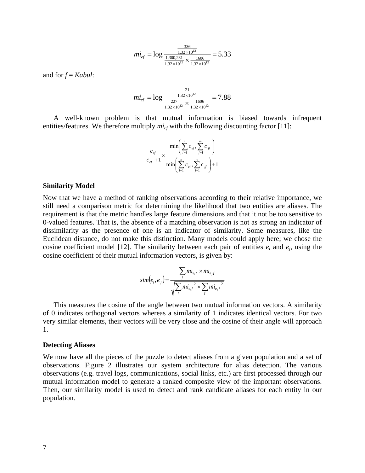$$
mi_{ef} = \log \frac{\frac{336}{1.32 \times 10^{12}}}{\frac{1,300,281}{1.32 \times 10^{12}} \times \frac{1606}{1.32 \times 10^{12}}} = 5.33
$$

and for *f* = *Kabul*:

$$
mi_{ef} = \log \frac{\frac{21}{1.32 \times 10^{12}}}{\frac{227}{1.32 \times 10^{12}} \times \frac{1606}{1.32 \times 10^{12}}} = 7.88
$$

A well-known problem is that mutual information is biased towards infrequent entities/features. We therefore multiply  $mi_{ef}$  with the following discounting factor [11]:

$$
\frac{c_{e^f}}{c_{e^f} + 1} \times \frac{\min\left(\sum_{i=1}^n c_{e^i}, \sum_{j=1}^m c_{j^f}\right)}{\min\left(\sum_{i=1}^n c_{e^i}, \sum_{j=1}^m c_{j^f}\right) + 1}
$$

#### **Similarity Model**

Now that we have a method of ranking observations according to their relative importance, we still need a comparison metric for determining the likelihood that two entities are aliases. The requirement is that the metric handles large feature dimensions and that it not be too sensitive to 0-valued features. That is, the absence of a matching observation is not as strong an indicator of dissimilarity as the presence of one is an indicator of similarity. Some measures, like the Euclidean distance, do not make this distinction. Many models could apply here; we chose the cosine coefficient model [12]. The similarity between each pair of entities  $e_i$  and  $e_j$ , using the cosine coefficient of their mutual information vectors, is given by:

$$
sim(e_i, e_j) = \frac{\sum_{f} m i_{e_i f} \times m i_{e_j f}}{\sqrt{\sum_{f} m i_{e_i f}^2 \times \sum_{f} m i_{e_j f}^2}}
$$

This measures the cosine of the angle between two mutual information vectors. A similarity of 0 indicates orthogonal vectors whereas a similarity of 1 indicates identical vectors. For two very similar elements, their vectors will be very close and the cosine of their angle will approach 1.

#### **Detecting Aliases**

We now have all the pieces of the puzzle to detect aliases from a given population and a set of observations. Figure 2 illustrates our system architecture for alias detection. The various observations (e.g. travel logs, communications, social links, etc.) are first processed through our mutual information model to generate a ranked composite view of the important observations. Then, our similarity model is used to detect and rank candidate aliases for each entity in our population.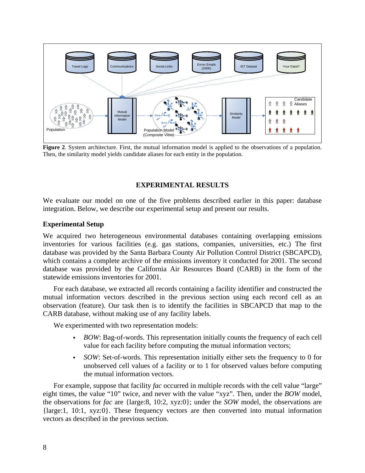

**Figure 2**. System architecture. First, the mutual information model is applied to the observations of a population. Then, the similarity model yields candidate aliases for each entity in the population.

# **EXPERIMENTAL RESULTS**

We evaluate our model on one of the five problems described earlier in this paper: database integration. Below, we describe our experimental setup and present our results.

# **Experimental Setup**

We acquired two heterogeneous environmental databases containing overlapping emissions inventories for various facilities (e.g. gas stations, companies, universities, etc.) The first database was provided by the Santa Barbara County Air Pollution Control District (SBCAPCD), which contains a complete archive of the emissions inventory it conducted for 2001. The second database was provided by the California Air Resources Board (CARB) in the form of the statewide emissions inventories for 2001.

For each database, we extracted all records containing a facility identifier and constructed the mutual information vectors described in the previous section using each record cell as an observation (feature). Our task then is to identify the facilities in SBCAPCD that map to the CARB database, without making use of any facility labels.

We experimented with two representation models:

- *BOW*: Bag-of-words. This representation initially counts the frequency of each cell value for each facility before computing the mutual information vectors;
- *SOW*: Set-of-words. This representation initially either sets the frequency to 0 for unobserved cell values of a facility or to 1 for observed values before computing the mutual information vectors.

For example, suppose that facility *fac* occurred in multiple records with the cell value "large" eight times, the value "10" twice, and never with the value "xyz". Then, under the *BOW* model, the observations for *fac* are {large:8, 10:2, xyz:0}; under the *SOW* model, the observations are {large:1, 10:1, xyz:0}. These frequency vectors are then converted into mutual information vectors as described in the previous section.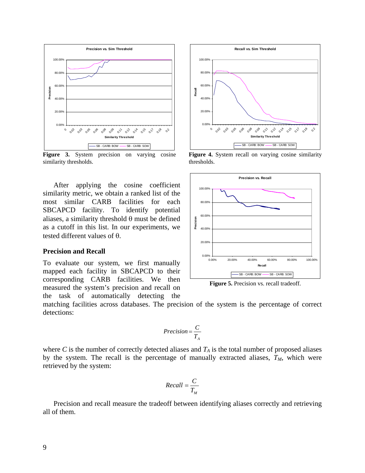

Figure 3. System precision on varying cosine similarity thresholds.

After applying the cosine coefficient similarity metric, we obtain a ranked list of the most similar CARB facilities for each SBCAPCD facility. To identify potential aliases, a similarity threshold  $\theta$  must be defined as a cutoff in this list. In our experiments, we tested different values of θ.

#### **Precision and Recall**

To evaluate our system, we first manually mapped each facility in SBCAPCD to their corresponding CARB facilities. We then measured the system's precision and recall on the task of automatically detecting the



Figure 4. System recall on varying cosine similarity thresholds.



**Figure 5.** Precision vs. recall tradeoff.

matching facilities across databases. The precision of the system is the percentage of correct detections:

$$
Precision = \frac{C}{T_A}
$$

where *C* is the number of correctly detected aliases and  $T_A$  is the total number of proposed aliases by the system. The recall is the percentage of manually extracted aliases,  $T_M$ , which were retrieved by the system:

$$
Recall = \frac{C}{T_M}
$$

Precision and recall measure the tradeoff between identifying aliases correctly and retrieving all of them.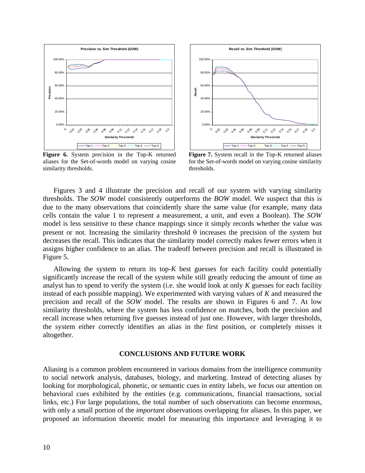

**Figure 6.** System precision in the Top-K returned aliases for the Set-of-words model on varying cosine similarity thresholds.



**Figure 7.** System recall in the Top-K returned aliases for the Set-of-words model on varying cosine similarity thresholds.

Figures 3 and 4 illustrate the precision and recall of our system with varying similarity thresholds. The *SOW* model consistently outperforms the *BOW* model. We suspect that this is due to the many observations that coincidently share the same value (for example, many data cells contain the value 1 to represent a measurement, a unit, and even a Boolean). The *SOW* model is less sensitive to these chance mappings since it simply records whether the value was present or not. Increasing the similarity threshold  $\theta$  increases the precision of the system but decreases the recall. This indicates that the similarity model correctly makes fewer errors when it assigns higher confidence to an alias. The tradeoff between precision and recall is illustrated in Figure 5.

Allowing the system to return its top-*K* best guesses for each facility could potentially significantly increase the recall of the system while still greatly reducing the amount of time an analyst has to spend to verify the system (i.e. she would look at only *K* guesses for each facility instead of each possible mapping). We experimented with varying values of *K* and measured the precision and recall of the *SOW* model. The results are shown in Figures 6 and 7. At low similarity thresholds, where the system has less confidence on matches, both the precision and recall increase when returning five guesses instead of just one. However, with larger thresholds, the system either correctly identifies an alias in the first position, or completely misses it altogether.

### **CONCLUSIONS AND FUTURE WORK**

Aliasing is a common problem encountered in various domains from the intelligence community to social network analysis, databases, biology, and marketing. Instead of detecting aliases by looking for morphological, phonetic, or semantic cues in entity labels, we focus our attention on behavioral cues exhibited by the entities (e.g. communications, financial transactions, social links, etc.) For large populations, the total number of such observations can become enormous, with only a small portion of the *important* observations overlapping for aliases. In this paper, we proposed an information theoretic model for measuring this importance and leveraging it to